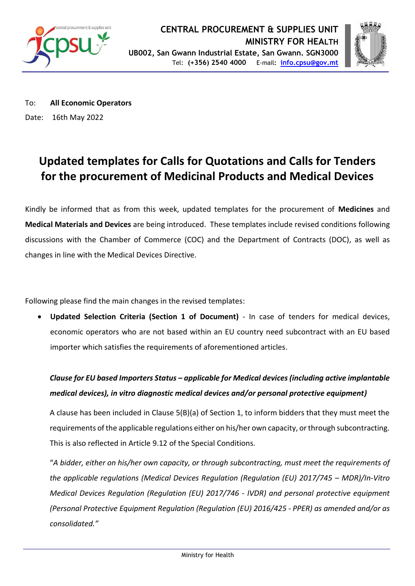



To: **All Economic Operators** Date: 16th May 2022

# **Updated templates for Calls for Quotations and Calls for Tenders for the procurement of Medicinal Products and Medical Devices**

Kindly be informed that as from this week, updated templates for the procurement of **Medicines** and **Medical Materials and Devices** are being introduced. These templates include revised conditions following discussions with the Chamber of Commerce (COC) and the Department of Contracts (DOC), as well as changes in line with the Medical Devices Directive.

Following please find the main changes in the revised templates:

 **Updated Selection Criteria (Section 1 of Document)** - In case of tenders for medical devices, economic operators who are not based within an EU country need subcontract with an EU based importer which satisfies the requirements of aforementioned articles.

# *Clause for EU based Importers Status – applicable for Medical devices (including active implantable medical devices), in vitro diagnostic medical devices and/or personal protective equipment)*

A clause has been included in Clause 5(B)(a) of Section 1, to inform bidders that they must meet the requirements of the applicable regulations either on his/her own capacity, or through subcontracting. This is also reflected in Article 9.12 of the Special Conditions.

"*A bidder, either on his/her own capacity, or through subcontracting, must meet the requirements of the applicable regulations (Medical Devices Regulation (Regulation (EU) 2017/745 – MDR)/In-Vitro Medical Devices Regulation (Regulation (EU) 2017/746 - IVDR) and personal protective equipment (Personal Protective Equipment Regulation (Regulation (EU) 2016/425 - PPER) as amended and/or as consolidated."*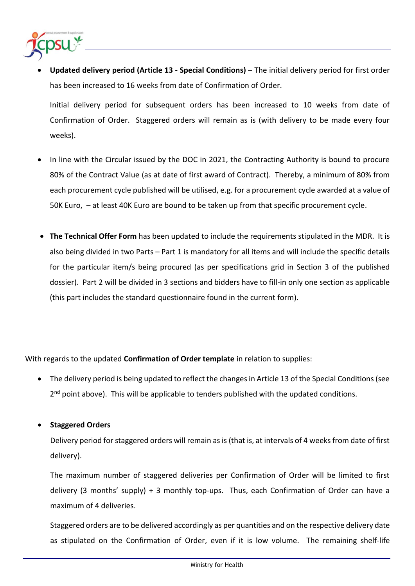

 **Updated delivery period (Article 13 - Special Conditions)** – The initial delivery period for first order has been increased to 16 weeks from date of Confirmation of Order.

Initial delivery period for subsequent orders has been increased to 10 weeks from date of Confirmation of Order. Staggered orders will remain as is (with delivery to be made every four weeks).

- In line with the Circular issued by the DOC in 2021, the Contracting Authority is bound to procure 80% of the Contract Value (as at date of first award of Contract). Thereby, a minimum of 80% from each procurement cycle published will be utilised, e.g. for a procurement cycle awarded at a value of 50K Euro, – at least 40K Euro are bound to be taken up from that specific procurement cycle.
- **The Technical Offer Form** has been updated to include the requirements stipulated in the MDR. It is also being divided in two Parts – Part 1 is mandatory for all items and will include the specific details for the particular item/s being procured (as per specifications grid in Section 3 of the published dossier). Part 2 will be divided in 3 sections and bidders have to fill-in only one section as applicable (this part includes the standard questionnaire found in the current form).

With regards to the updated **Confirmation of Order template** in relation to supplies:

 The delivery period is being updated to reflect the changes in Article 13 of the Special Conditions (see 2<sup>nd</sup> point above). This will be applicable to tenders published with the updated conditions.

## **Staggered Orders**

Delivery period for staggered orders will remain as is (that is, at intervals of 4 weeks from date of first delivery).

The maximum number of staggered deliveries per Confirmation of Order will be limited to first delivery (3 months' supply) + 3 monthly top-ups. Thus, each Confirmation of Order can have a maximum of 4 deliveries.

Staggered orders are to be delivered accordingly as per quantities and on the respective delivery date as stipulated on the Confirmation of Order, even if it is low volume. The remaining shelf-life